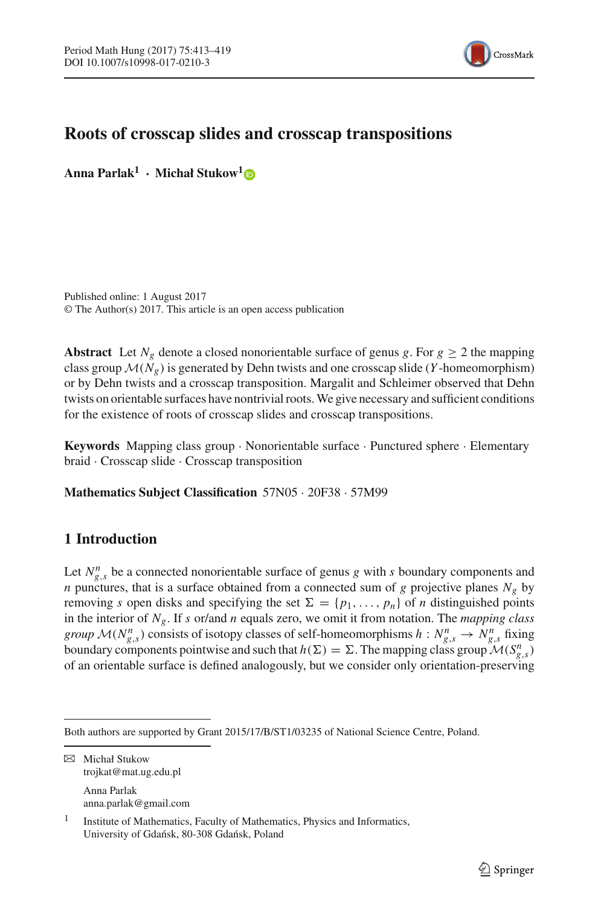

# **Roots of crosscap slides and crosscap transpositions**

**Anna Parlak1 · Michał Stukow[1](http://orcid.org/0000-0001-7003-364X)**

Published online: 1 August 2017 © The Author(s) 2017. This article is an open access publication

**Abstract** Let  $N_g$  denote a closed nonorientable surface of genus *g*. For  $g \ge 2$  the mapping class group  $M(N_g)$  is generated by Dehn twists and one crosscap slide (*Y* -homeomorphism) or by Dehn twists and a crosscap transposition. Margalit and Schleimer observed that Dehn twists on orientable surfaces have nontrivial roots.We give necessary and sufficient conditions for the existence of roots of crosscap slides and crosscap transpositions.

**Keywords** Mapping class group · Nonorientable surface · Punctured sphere · Elementary braid · Crosscap slide · Crosscap transposition

**Mathematics Subject Classification** 57N05 · 20F38 · 57M99

## **1 Introduction**

Let  $N_{g,s}^n$  be a connected nonorientable surface of genus *g* with *s* boundary components and *n* punctures, that is a surface obtained from a connected sum of *g* projective planes *Ng* by removing *s* open disks and specifying the set  $\Sigma = \{p_1, \ldots, p_n\}$  of *n* distinguished points in the interior of *Ng*. If *s* or/and *n* equals zero, we omit it from notation. The *mapping class group*  $\mathcal{M}(N_{g,s}^n)$  consists of isotopy classes of self-homeomorphisms  $h: N_{g,s}^n \to N_{g,s}^n$  fixing boundary components pointwise and such that  $h(\Sigma) = \Sigma$ . The mapping class group  $\mathcal{M}(S_{g,s}^n)$ of an orientable surface is defined analogously, but we consider only orientation-preserving

 $\boxtimes$  Michał Stukow trojkat@mat.ug.edu.pl

Anna Parlak anna.parlak@gmail.com

Both authors are supported by Grant 2015/17/B/ST1/03235 of National Science Centre, Poland.

<sup>1</sup> Institute of Mathematics, Faculty of Mathematics, Physics and Informatics, University of Gdańsk, 80-308 Gdańsk, Poland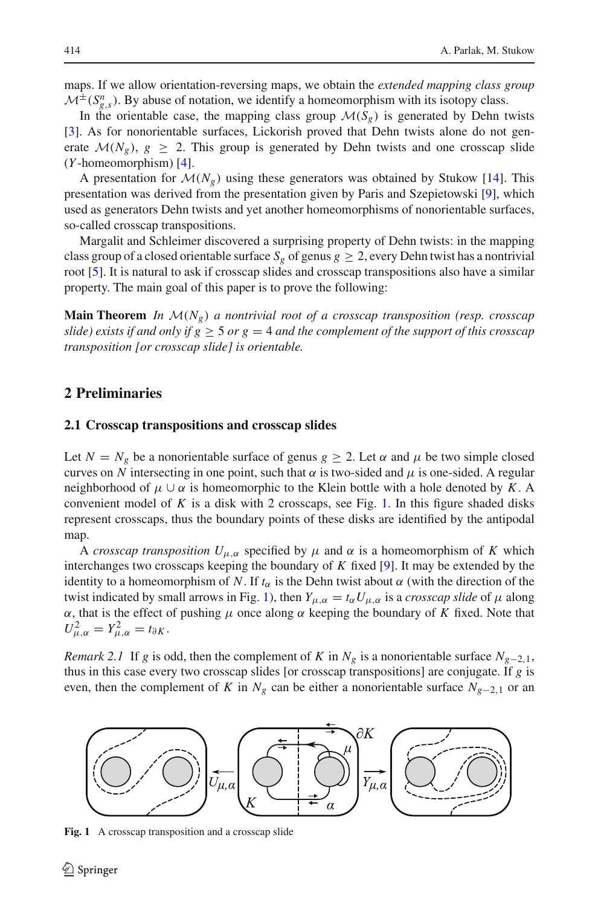maps. If we allow orientation-reversing maps, we obtain the *extended mapping class group*  $M^{\pm}(S_{g,s}^n)$ . By abuse of notation, we identify a homeomorphism with its isotopy class.

In the orientable case, the mapping class group  $\mathcal{M}(S_g)$  is generated by Dehn twists [\[3](#page-6-0)]. As for nonorientable surfaces, Lickorish proved that Dehn twists alone do not generate  $\mathcal{M}(N_g)$ ,  $g \geq 2$ . This group is generated by Dehn twists and one crosscap slide (*Y* -homeomorphism) [\[4\]](#page-6-1).

A presentation for  $\mathcal{M}(N_g)$  using these generators was obtained by Stukow [\[14](#page-6-2)]. This presentation was derived from the presentation given by Paris and Szepietowski [\[9\]](#page-6-3), which used as generators Dehn twists and yet another homeomorphisms of nonorientable surfaces, so-called crosscap transpositions.

Margalit and Schleimer discovered a surprising property of Dehn twists: in the mapping class group of a closed orientable surface  $S_g$  of genus  $g > 2$ , every Dehn twist has a nontrivial root [\[5\]](#page-6-4). It is natural to ask if crosscap slides and crosscap transpositions also have a similar property. The main goal of this paper is to prove the following:

**Main Theorem** *In M*(*Ng*) *a nontrivial root of a crosscap transposition (resp. crosscap slide)* exists if and only if  $g > 5$  or  $g = 4$  and the complement of the support of this crosscap *transposition [or crosscap slide] is orientable.*

#### **2 Preliminaries**

#### **2.1 Crosscap transpositions and crosscap slides**

Let  $N = N_g$  be a nonorientable surface of genus  $g \ge 2$ . Let  $\alpha$  and  $\mu$  be two simple closed curves on *N* intersecting in one point, such that  $\alpha$  is two-sided and  $\mu$  is one-sided. A regular neighborhood of  $\mu \cup \alpha$  is homeomorphic to the Klein bottle with a hole denoted by *K*. A convenient model of  $K$  is a disk with 2 crosscaps, see Fig. [1.](#page-1-0) In this figure shaded disks represent crosscaps, thus the boundary points of these disks are identified by the antipodal map.

A *crosscap transposition*  $U_{\mu,\alpha}$  specified by  $\mu$  and  $\alpha$  is a homeomorphism of K which interchanges two crosscaps keeping the boundary of *K* fixed [\[9\]](#page-6-3). It may be extended by the identity to a homeomorphism of *N*. If  $t_\alpha$  is the Dehn twist about  $\alpha$  (with the direction of the twist indicated by small arrows in Fig. [1\)](#page-1-0), then  $Y_{\mu,\alpha} = t_{\alpha} U_{\mu,\alpha}$  is a *crosscap slide* of  $\mu$  along  $\alpha$ , that is the effect of pushing  $\mu$  once along  $\alpha$  keeping the boundary of *K* fixed. Note that  $U_{\mu,\alpha}^2 = Y_{\mu,\alpha}^2 = t_{\partial K}.$ 

<span id="page-1-1"></span>*Remark 2.1* If *g* is odd, then the complement of *K* in  $N_g$  is a nonorientable surface  $N_{g-2,1}$ , thus in this case every two crosscap slides [or crosscap transpositions] are conjugate. If *g* is even, then the complement of *K* in  $N_g$  can be either a nonorientable surface  $N_{g-2,1}$  or an



<span id="page-1-0"></span>**Fig. 1** A crosscap transposition and a crosscap slide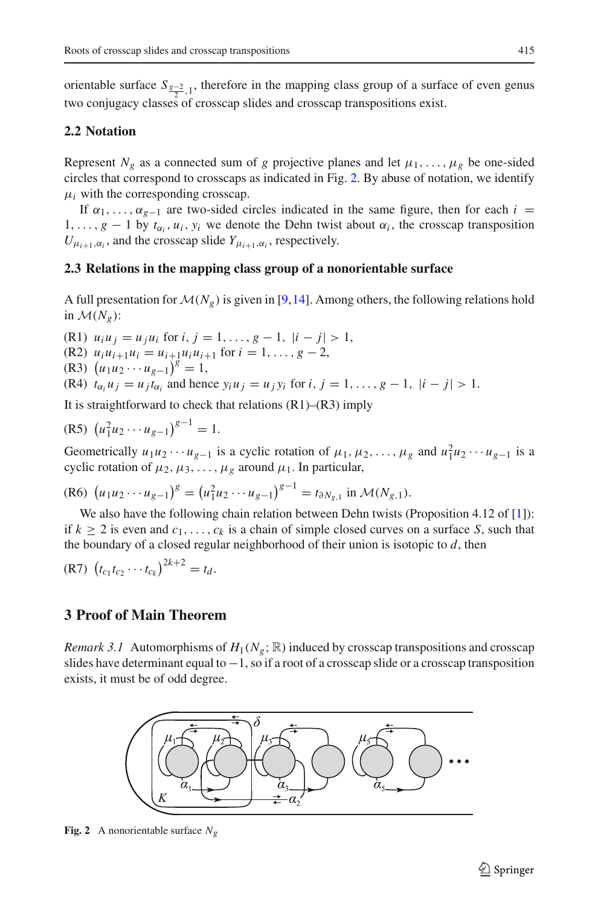orientable surface  $S_{\frac{g-2}{2},1}$ , therefore in the mapping class group of a surface of even genus two conjugacy classes of crosscap slides and crosscap transpositions exist.

#### **2.2 Notation**

Represent  $N_g$  as a connected sum of *g* projective planes and let  $\mu_1, \ldots, \mu_g$  be one-sided circles that correspond to crosscaps as indicated in Fig. [2.](#page-2-0) By abuse of notation, we identify  $\mu_i$  with the corresponding crosscap.

If  $\alpha_1, \ldots, \alpha_{g-1}$  are two-sided circles indicated in the same figure, then for each *i* =  $1, \ldots, g-1$  by  $t_{\alpha_i}, u_i, y_i$  we denote the Dehn twist about  $\alpha_i$ , the crosscap transposition  $U_{\mu_{i+1},\alpha_i}$ , and the crosscap slide  $Y_{\mu_{i+1},\alpha_i}$ , respectively.

#### **2.3 Relations in the mapping class group of a nonorientable surface**

A full presentation for  $\mathcal{M}(N_g)$  is given in [\[9](#page-6-3)[,14](#page-6-2)]. Among others, the following relations hold in  $\mathcal{M}(N_{\varrho})$ :

(R1)  $u_i u_j = u_j u_i$  for  $i, j = 1, \ldots, g - 1, |i - j| > 1$ ,  $(R2)$   $u_i u_{i+1} u_i = u_{i+1} u_i u_{i+1}$  for  $i = 1, \ldots, g-2$ ,  $(\text{R3}) \left( u_1 u_2 \cdots u_{g-1} \right)^g = 1,$ (R4)  $t_{\alpha_i} u_i = u_i t_{\alpha_i}$  and hence  $y_i u_j = u_j y_i$  for  $i, j = 1, \ldots, g - 1, |i - j| > 1$ .

It is straightforward to check that relations  $(R1)$ – $(R3)$  imply

(R5) 
$$
(u_1^2 u_2 \cdots u_{g-1})^{g-1} = 1.
$$

Geometrically  $u_1u_2 \cdots u_{g-1}$  is a cyclic rotation of  $\mu_1, \mu_2, \ldots, \mu_g$  and  $u_1^2u_2 \cdots u_{g-1}$  is a cyclic rotation of  $\mu_2, \mu_3, \ldots, \mu_g$  around  $\mu_1$ . In particular,

(R6) 
$$
(u_1u_2\cdots u_{g-1})^g = (u_1^2u_2\cdots u_{g-1})^{g-1} = t_{\partial N_{g,1}}
$$
 in  $\mathcal{M}(N_{g,1})$ .

We also have the following chain relation between Dehn twists (Proposition 4.12 of [\[1](#page-6-5)]): if  $k \ge 2$  is even and  $c_1, \ldots, c_k$  is a chain of simple closed curves on a surface *S*, such that the boundary of a closed regular neighborhood of their union is isotopic to *d*, then

(R7) 
$$
(t_{c_1}t_{c_2}\cdots t_{c_k})^{2k+2} = t_d.
$$

### **3 Proof of Main Theorem**

<span id="page-2-1"></span>*Remark 3.1* Automorphisms of  $H_1(N_g; \mathbb{R})$  induced by crosscap transpositions and crosscap slides have determinant equal to  $-1$ , so if a root of a crosscap slide or a crosscap transposition exists, it must be of odd degree.



<span id="page-2-0"></span>**Fig. 2** A nonorientable surface *Ng*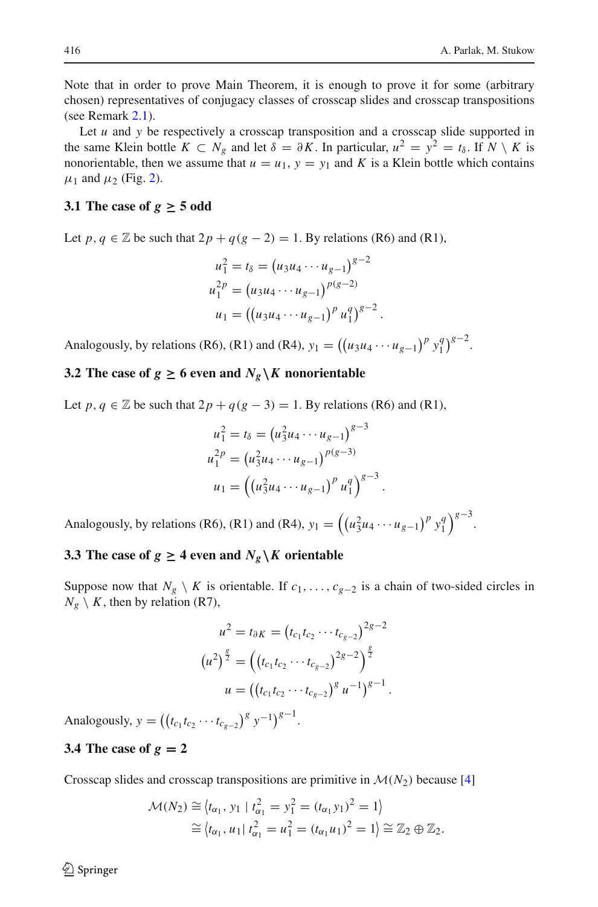Note that in order to prove Main Theorem, it is enough to prove it for some (arbitrary chosen) representatives of conjugacy classes of crosscap slides and crosscap transpositions (see Remark [2.1\)](#page-1-1).

Let *u* and *y* be respectively a crosscap transposition and a crosscap slide supported in the same Klein bottle  $K \subset N_g$  and let  $\delta = \partial K$ . In particular,  $u^2 = y^2 = t_\delta$ . If  $N \setminus K$  is nonorientable, then we assume that  $u = u_1$ ,  $y = y_1$  and K is a Klein bottle which contains  $\mu_1$  and  $\mu_2$  (Fig. [2\)](#page-2-0).

### **3.1 The case of**  $g \ge 5$  odd

Let *p*,  $q \in \mathbb{Z}$  be such that  $2p + q(g - 2) = 1$ . By relations (R6) and (R1),

$$
u_1^2 = t_\delta = (u_3 u_4 \cdots u_{g-1})^{g-2}
$$
  
\n
$$
u_1^{2p} = (u_3 u_4 \cdots u_{g-1})^{p(g-2)}
$$
  
\n
$$
u_1 = ((u_3 u_4 \cdots u_{g-1})^p u_1^q)^{g-2}.
$$

Analogously, by relations (R6), (R1) and (R4),  $y_1 = ((u_3u_4 \cdots u_{g-1})^p y_1^q)$  $\binom{q}{1}^{g-2}$ .

### **3.2** The case of  $g \ge 6$  even and  $N_g \setminus K$  nonorientable

Let *p*,  $q \in \mathbb{Z}$  be such that  $2p + q(g - 3) = 1$ . By relations (R6) and (R1),

$$
u_1^2 = t_\delta = (u_3^2 u_4 \cdots u_{g-1})^{g-3}
$$
  
\n
$$
u_1^{2p} = (u_3^2 u_4 \cdots u_{g-1})^{p(g-3)}
$$
  
\n
$$
u_1 = ((u_3^2 u_4 \cdots u_{g-1})^p u_1^q)^{g-3}
$$

.

Analogously, by relations (R6), (R1) and (R4),  $y_1 = ((u_3^2 u_4 \cdots u_{g-1})^p y_1^q$  ${g \choose 1}^{g-3}$ .

## **3.3** The case of  $g \geq 4$  even and  $N_g \setminus K$  orientable

Suppose now that  $N_g \setminus K$  is orientable. If  $c_1, \ldots, c_{g-2}$  is a chain of two-sided circles in  $N_g \setminus K$ , then by relation (R7),

$$
u^{2} = t_{\partial K} = (t_{c_{1}}t_{c_{2}} \cdots t_{c_{g-2}})^{2g-2}
$$

$$
(u^{2})^{\frac{g}{2}} = ((t_{c_{1}}t_{c_{2}} \cdots t_{c_{g-2}})^{2g-2})^{\frac{g}{2}}
$$

$$
u = ((t_{c_{1}}t_{c_{2}} \cdots t_{c_{g-2}})^{g} u^{-1})^{g-1}.
$$

Analogously,  $y = ((t_{c_1}t_{c_2}\cdots t_{c_{g-2}})^g y^{-1})^{g-1}$ .

### **3.4 The case of**  $g = 2$

Crosscap slides and crosscap transpositions are primitive in  $M(N_2)$  because [\[4](#page-6-1)]

$$
\mathcal{M}(N_2) \cong \langle t_{\alpha_1}, y_1 | t_{\alpha_1}^2 = y_1^2 = (t_{\alpha_1} y_1)^2 = 1 \rangle
$$
  
 
$$
\cong \langle t_{\alpha_1}, u_1 | t_{\alpha_1}^2 = u_1^2 = (t_{\alpha_1} u_1)^2 = 1 \rangle \cong \mathbb{Z}_2 \oplus \mathbb{Z}_2.
$$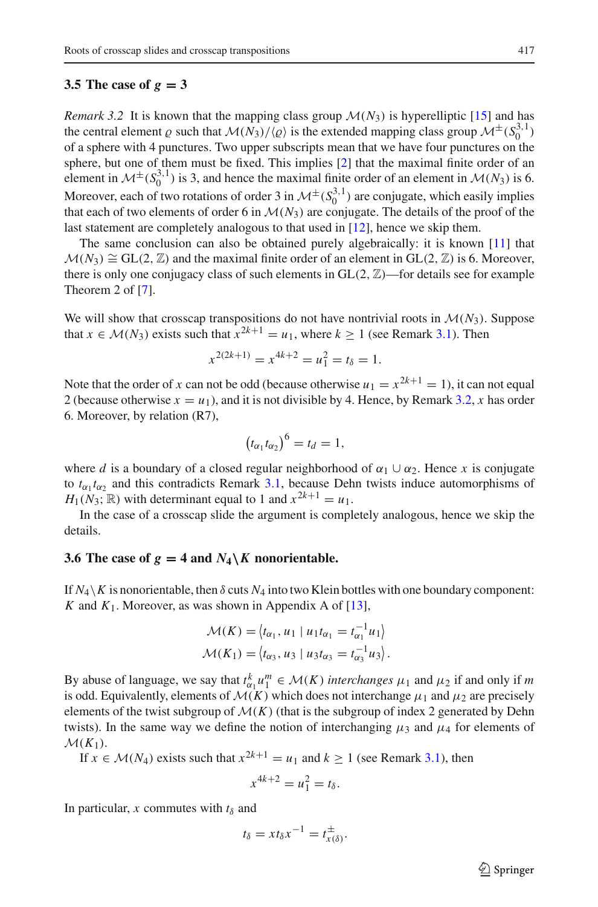#### **3.5 The case of**  $g = 3$

<span id="page-4-0"></span>*Remark 3.2* It is known that the mapping class group  $M(N_3)$  is hyperelliptic [\[15](#page-6-6)] and has the central element  $\varrho$  such that  $M(N_3)/\langle \varrho \rangle$  is the extended mapping class group  $M^{\pm}(S_0^{3,1})$ of a sphere with 4 punctures. Two upper subscripts mean that we have four punctures on the sphere, but one of them must be fixed. This implies [\[2](#page-6-7)] that the maximal finite order of an element in  $\mathcal{M}^{\pm}(S_0^{3,1})$  is 3, and hence the maximal finite order of an element in  $\mathcal{M}(N_3)$  is 6. Moreover, each of two rotations of order 3 in  $\mathcal{M}^{\pm}(S_0^{3,1})$  are conjugate, which easily implies that each of two elements of order 6 in  $\mathcal{M}(N_3)$  are conjugate. The details of the proof of the last statement are completely analogous to that used in [\[12\]](#page-6-8), hence we skip them.

The same conclusion can also be obtained purely algebraically: it is known [\[11](#page-6-9)] that  $M(N_3) \cong GL(2, \mathbb{Z})$  and the maximal finite order of an element in  $GL(2, \mathbb{Z})$  is 6. Moreover, there is only one conjugacy class of such elements in  $GL(2, \mathbb{Z})$ —for details see for example Theorem 2 of [\[7\]](#page-6-10).

We will show that crosscap transpositions do not have nontrivial roots in  $\mathcal{M}(N_3)$ . Suppose that  $x \in M(N_3)$  exists such that  $x^{2k+1} = u_1$ , where  $k > 1$  (see Remark [3.1\)](#page-2-1). Then

$$
x^{2(2k+1)} = x^{4k+2} = u_1^2 = t_\delta = 1.
$$

Note that the order of *x* can not be odd (because otherwise  $u_1 = x^{2k+1} = 1$ ), it can not equal 2 (because otherwise  $x = u_1$ ), and it is not divisible by 4. Hence, by Remark [3.2,](#page-4-0) *x* has order 6. Moreover, by relation (R7),

$$
(t_{\alpha_1}t_{\alpha_2})^6=t_d=1,
$$

where *d* is a boundary of a closed regular neighborhood of  $\alpha_1 \cup \alpha_2$ . Hence *x* is conjugate to  $t_{\alpha_1} t_{\alpha_2}$  and this contradicts Remark [3.1,](#page-2-1) because Dehn twists induce automorphisms of  $H_1(N_3; \mathbb{R})$  with determinant equal to 1 and  $x^{2k+1} = u_1$ .

In the case of a crosscap slide the argument is completely analogous, hence we skip the details.

#### **3.6 The case of**  $g = 4$  **and**  $N_4 \setminus K$  **nonorientable.**

If  $N_4 \setminus K$  is nonorientable, then  $\delta$  cuts  $N_4$  into two Klein bottles with one boundary component: *K* and  $K_1$ . Moreover, as was shown in Appendix A of [\[13\]](#page-6-11),

$$
\mathcal{M}(K) = \langle t_{\alpha_1}, u_1 \mid u_1 t_{\alpha_1} = t_{\alpha_1}^{-1} u_1 \rangle
$$
  

$$
\mathcal{M}(K_1) = \langle t_{\alpha_3}, u_3 \mid u_3 t_{\alpha_3} = t_{\alpha_3}^{-1} u_3 \rangle.
$$

By abuse of language, we say that  $t_{\alpha_1}^k u_1^m \in \mathcal{M}(K)$  *interchanges*  $\mu_1$  and  $\mu_2$  if and only if *m* is odd. Equivalently, elements of  $\mathcal{M}(K)$  which does not interchange  $\mu_1$  and  $\mu_2$  are precisely elements of the twist subgroup of  $M(K)$  (that is the subgroup of index 2 generated by Dehn twists). In the same way we define the notion of interchanging  $\mu_3$  and  $\mu_4$  for elements of  $\mathcal{M}(K_1)$ .

If  $x \in \mathcal{M}(N_4)$  exists such that  $x^{2k+1} = u_1$  and  $k > 1$  (see Remark [3.1\)](#page-2-1), then

$$
x^{4k+2} = u_1^2 = t_\delta.
$$

In particular, *x* commutes with  $t_\delta$  and

$$
t_{\delta} = xt_{\delta}x^{-1} = t_{x(\delta)}^{\pm}.
$$

 $\circled{2}$  Springer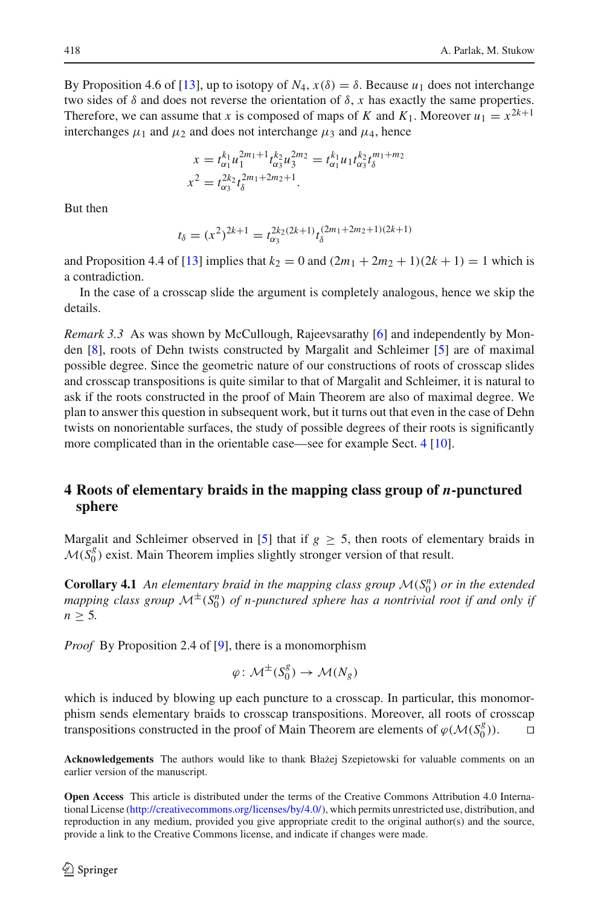By Proposition 4.6 of [\[13\]](#page-6-11), up to isotopy of  $N_4$ ,  $x(\delta) = \delta$ . Because  $u_1$  does not interchange two sides of  $\delta$  and does not reverse the orientation of  $\delta$ , *x* has exactly the same properties. Therefore, we can assume that *x* is composed of maps of *K* and  $K_1$ . Moreover  $u_1 = x^{2k+1}$ interchanges  $\mu_1$  and  $\mu_2$  and does not interchange  $\mu_3$  and  $\mu_4$ , hence

$$
x = t_{\alpha_1}^{k_1} u_1^{2m_1+1} t_{\alpha_3}^{k_2} u_3^{2m_2} = t_{\alpha_1}^{k_1} u_1 t_{\alpha_3}^{k_2} t_3^{m_1+m_2}
$$
  

$$
x^2 = t_{\alpha_3}^{2k_2} t_{\delta}^{2m_1+2m_2+1}.
$$

But then

$$
t_{\delta} = (x^2)^{2k+1} = t_{\alpha_3}^{2k_2(2k+1)} t_{\delta}^{(2m_1+2m_2+1)(2k+1)}
$$

and Proposition 4.4 of [\[13\]](#page-6-11) implies that  $k_2 = 0$  and  $(2m_1 + 2m_2 + 1)(2k + 1) = 1$  which is a contradiction.

In the case of a crosscap slide the argument is completely analogous, hence we skip the details.

*Remark 3.3* As was shown by McCullough, Rajeevsarathy [\[6\]](#page-6-12) and independently by Monden [\[8](#page-6-13)], roots of Dehn twists constructed by Margalit and Schleimer [\[5\]](#page-6-4) are of maximal possible degree. Since the geometric nature of our constructions of roots of crosscap slides and crosscap transpositions is quite similar to that of Margalit and Schleimer, it is natural to ask if the roots constructed in the proof of Main Theorem are also of maximal degree. We plan to answer this question in subsequent work, but it turns out that even in the case of Dehn twists on nonorientable surfaces, the study of possible degrees of their roots is significantly more complicated than in the orientable case—see for example Sect. [4](#page-5-0) [\[10\]](#page-6-14).

## <span id="page-5-0"></span>**4 Roots of elementary braids in the mapping class group of** *n***-punctured sphere**

Margalit and Schleimer observed in [\[5](#page-6-4)] that if  $g \geq 5$ , then roots of elementary braids in  $M(S_0^g)$  exist. Main Theorem implies slightly stronger version of that result.

**Corollary 4.1** An elementary braid in the mapping class group  $\mathcal{M}(S_0^n)$  or in the extended *mapping class group*  $\mathcal{M}^{\pm}(S_0^n)$  *of n-punctured sphere has a nontrivial root if and only if n* ≥ 5*.*

*Proof* By Proposition 2.4 of [\[9\]](#page-6-3), there is a monomorphism

$$
\varphi \colon \mathcal{M}^{\pm}(S_0^g) \to \mathcal{M}(N_g)
$$

which is induced by blowing up each puncture to a crosscap. In particular, this monomorphism sends elementary braids to crosscap transpositions. Moreover, all roots of crosscap transpositions constructed in the proof of Main Theorem are elements of  $\varphi(M(S_0^g))$ .

Acknowledgements The authors would like to thank Błażej Szepietowski for valuable comments on an earlier version of the manuscript.

**Open Access** This article is distributed under the terms of the Creative Commons Attribution 4.0 International License [\(http://creativecommons.org/licenses/by/4.0/\)](http://creativecommons.org/licenses/by/4.0/), which permits unrestricted use, distribution, and reproduction in any medium, provided you give appropriate credit to the original author(s) and the source, provide a link to the Creative Commons license, and indicate if changes were made.